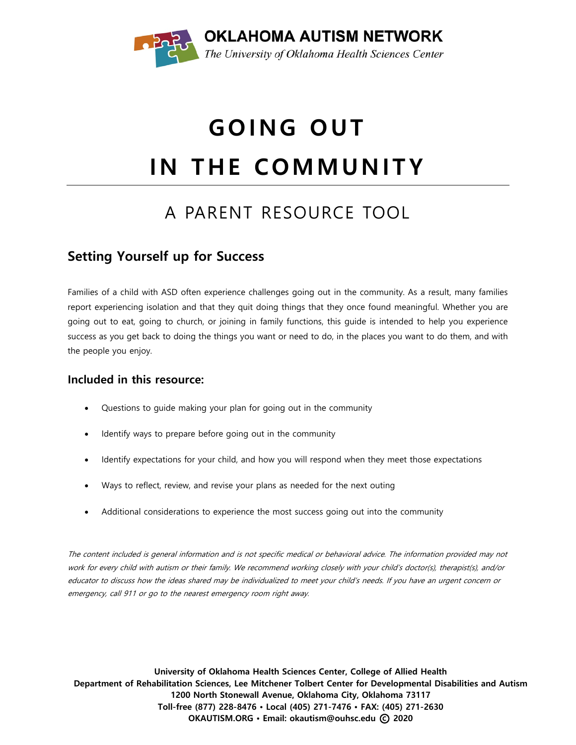

# **GOING OUT IN THE COMMUNITY**

## A PARENT RESOURCE TOOL

### **Setting Yourself up for Success**

Families of a child with ASD often experience challenges going out in the community. As a result, many families report experiencing isolation and that they quit doing things that they once found meaningful. Whether you are going out to eat, going to church, or joining in family functions, this guide is intended to help you experience success as you get back to doing the things you want or need to do, in the places you want to do them, and with the people you enjoy.

### **Included in this resource:**

- Questions to guide making your plan for going out in the community
- Identify ways to prepare before going out in the community
- Identify expectations for your child, and how you will respond when they meet those expectations
- Ways to reflect, review, and revise your plans as needed for the next outing
- Additional considerations to experience the most success going out into the community

The content included is general information and is not specific medical or behavioral advice. The information provided may not work for every child with autism or their family. We recommend working closely with your child's doctor(s), therapist(s), and/or educator to discuss how the ideas shared may be individualized to meet your child's needs. If you have an urgent concern or emergency, call 911 or go to the nearest emergency room right away.

**University of Oklahoma Health Sciences Center, College of Allied Health Department of Rehabilitation Sciences, Lee Mitchener Tolbert Center for Developmental Disabilities and Autism 1200 North Stonewall Avenue, Oklahoma City, Oklahoma 73117 Toll-free (877) 228-8476 • Local (405) 271-7476 • FAX: (405) 271-2630 OKAUTISM.ORG • Email: okautism@ouhsc.edu** © **2020**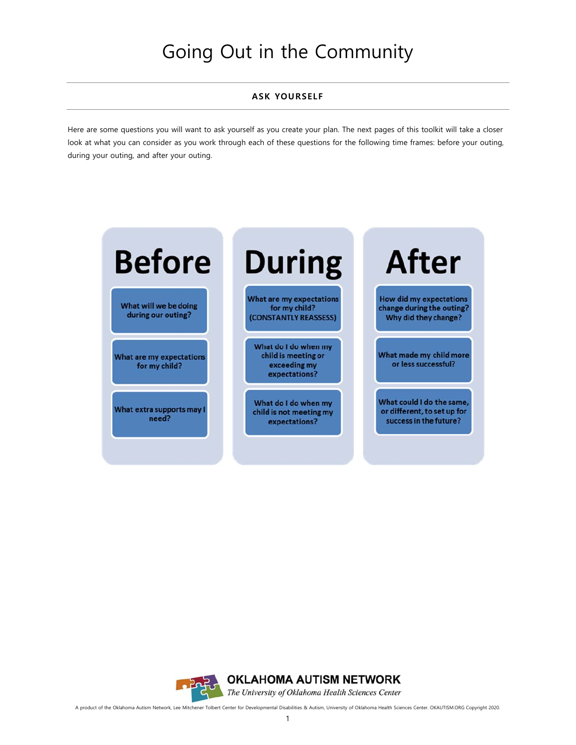# Going Out in the Community

### **ASK YOURSELF**

Here are some questions you will want to ask yourself as you create your plan. The next pages of this toolkit will take a closer look at what you can consider as you work through each of these questions for the following time frames: before your outing, during your outing, and after your outing.



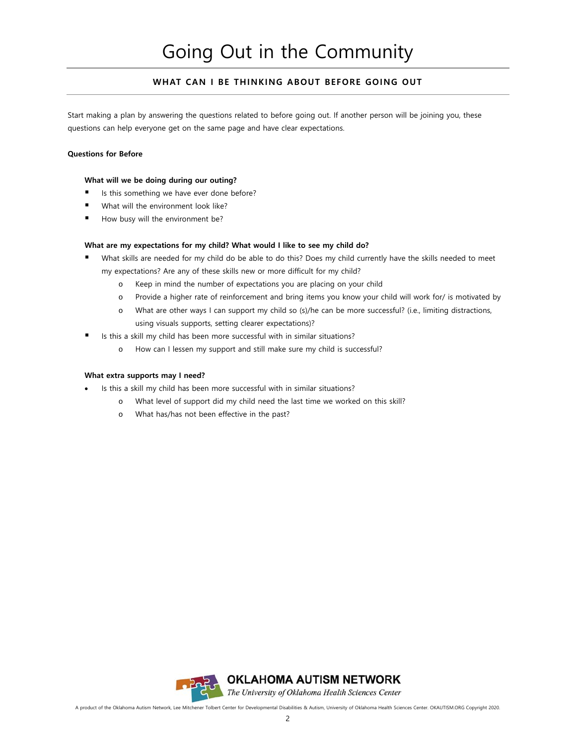#### **WHAT CAN I BE THINKING ABOUT BEFORE GOING OUT**

Start making a plan by answering the questions related to before going out. If another person will be joining you, these questions can help everyone get on the same page and have clear expectations.

#### **Questions for Before**

#### **What will we be doing during our outing?**

- Is this something we have ever done before?
- What will the environment look like?
- How busy will the environment be?

#### **What are my expectations for my child? What would I like to see my child do?**

- What skills are needed for my child do be able to do this? Does my child currently have the skills needed to meet my expectations? Are any of these skills new or more difficult for my child?
	- o Keep in mind the number of expectations you are placing on your child
	- o Provide a higher rate of reinforcement and bring items you know your child will work for/ is motivated by
	- o What are other ways I can support my child so (s)/he can be more successful? (i.e., limiting distractions, using visuals supports, setting clearer expectations)?
- Is this a skill my child has been more successful with in similar situations?
	- o How can I lessen my support and still make sure my child is successful?

#### **What extra supports may I need?**

- Is this a skill my child has been more successful with in similar situations?
	- o What level of support did my child need the last time we worked on this skill?
	- o What has/has not been effective in the past?

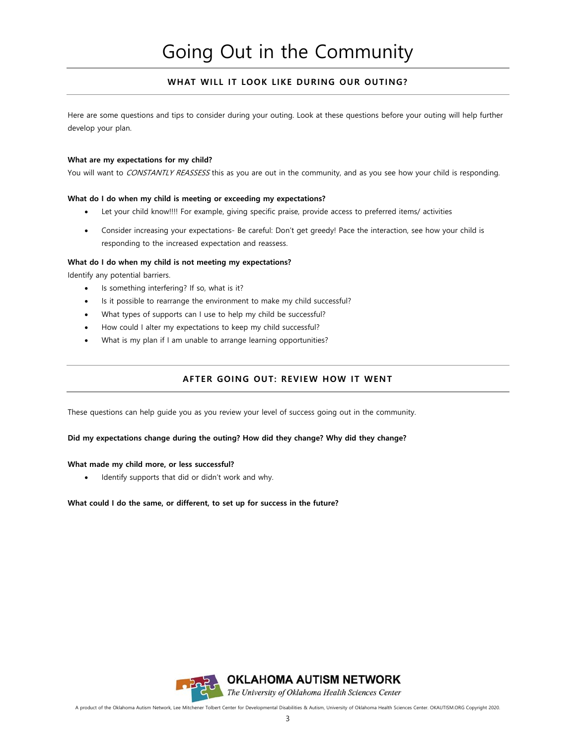#### **WHAT WILL IT LOOK LIKE DURING OUR OUTING?**

Here are some questions and tips to consider during your outing. Look at these questions before your outing will help further develop your plan.

#### **What are my expectations for my child?**

You will want to CONSTANTLY REASSESS this as you are out in the community, and as you see how your child is responding.

#### **What do I do when my child is meeting or exceeding my expectations?**

- Let your child know!!!! For example, giving specific praise, provide access to preferred items/ activities
- Consider increasing your expectations- Be careful: Don't get greedy! Pace the interaction, see how your child is responding to the increased expectation and reassess.

#### **What do I do when my child is not meeting my expectations?**

Identify any potential barriers.

- Is something interfering? If so, what is it?
- Is it possible to rearrange the environment to make my child successful?
- What types of supports can I use to help my child be successful?
- How could I alter my expectations to keep my child successful?
- What is my plan if I am unable to arrange learning opportunities?

#### **AFTER GOING OUT: REVIEW HOW IT WENT**

These questions can help guide you as you review your level of success going out in the community.

#### **Did my expectations change during the outing? How did they change? Why did they change?**

#### **What made my child more, or less successful?**

Identify supports that did or didn't work and why.

#### **What could I do the same, or different, to set up for success in the future?**

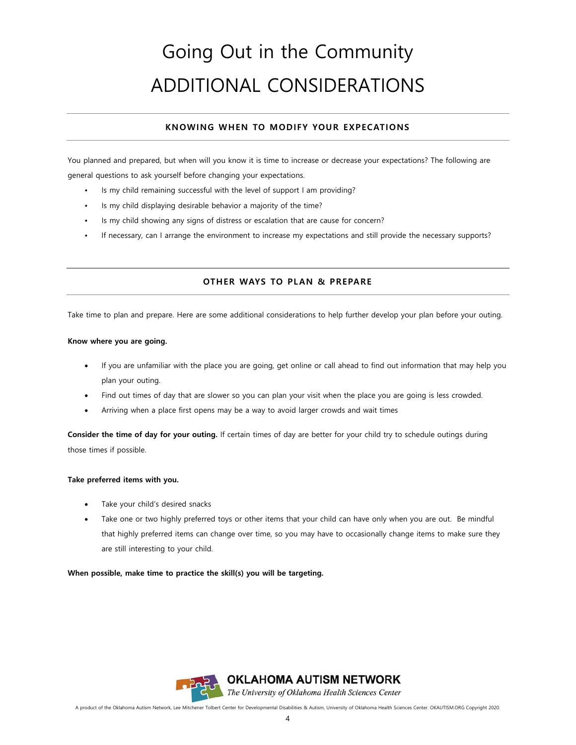# Going Out in the Community ADDITIONAL CONSIDERATIONS

### **KNOWING WHEN TO MODIFY YOUR EXPECATIONS**

You planned and prepared, but when will you know it is time to increase or decrease your expectations? The following are general questions to ask yourself before changing your expectations.

- Is my child remaining successful with the level of support I am providing?
- Is my child displaying desirable behavior a majority of the time?
- Is my child showing any signs of distress or escalation that are cause for concern?
- If necessary, can I arrange the environment to increase my expectations and still provide the necessary supports?

#### **OTHER WAYS TO PLAN & PREPARE**

Take time to plan and prepare. Here are some additional considerations to help further develop your plan before your outing.

#### **Know where you are going.**

- If you are unfamiliar with the place you are going, get online or call ahead to find out information that may help you plan your outing.
- Find out times of day that are slower so you can plan your visit when the place you are going is less crowded.
- Arriving when a place first opens may be a way to avoid larger crowds and wait times

**Consider the time of day for your outing.** If certain times of day are better for your child try to schedule outings during those times if possible.

#### **Take preferred items with you.**

- Take your child's desired snacks
- Take one or two highly preferred toys or other items that your child can have only when you are out. Be mindful that highly preferred items can change over time, so you may have to occasionally change items to make sure they are still interesting to your child.

#### **When possible, make time to practice the skill(s) you will be targeting.**

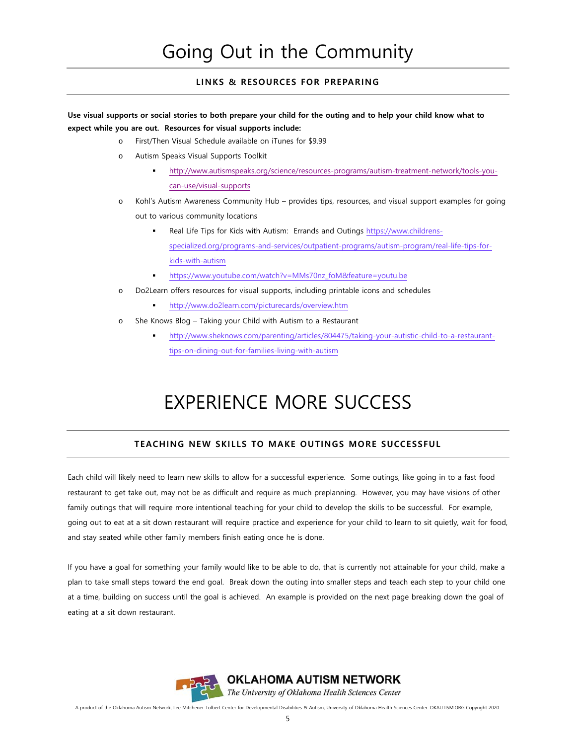#### **LINKS & RESOURCES FOR PREPARING**

#### **Use visual supports or social stories to both prepare your child for the outing and to help your child know what to expect while you are out. Resources for visual supports include:**

- o First/Then Visual Schedule available on iTunes for \$9.99
- o Autism Speaks Visual Supports Toolkit
	- http://www.autismspeaks.org/science/resources-programs/autism-treatment-network/tools-youcan-use/visual-supports
- o Kohl's Autism Awareness Community Hub provides tips, resources, and visual support examples for going out to various community locations
	- Real Life Tips for Kids with Autism: Errands and Outings https://www.childrensspecialized.org/programs-and-services/outpatient-programs/autism-program/real-life-tips-forkids-with-autism
	- https://www.youtube.com/watch?v=MMs70nz\_foM&feature=youtu.be
- o Do2Learn offers resources for visual supports, including printable icons and schedules
	- http://www.do2learn.com/picturecards/overview.htm
- o She Knows Blog Taking your Child with Autism to a Restaurant
	- http://www.sheknows.com/parenting/articles/804475/taking-your-autistic-child-to-a-restauranttips-on-dining-out-for-families-living-with-autism

## EXPERIENCE MORE SUCCESS

#### **TEACHING NEW SKILLS TO MAKE OUTINGS MORE SUCCESSFUL**

Each child will likely need to learn new skills to allow for a successful experience. Some outings, like going in to a fast food restaurant to get take out, may not be as difficult and require as much preplanning. However, you may have visions of other family outings that will require more intentional teaching for your child to develop the skills to be successful. For example, going out to eat at a sit down restaurant will require practice and experience for your child to learn to sit quietly, wait for food, and stay seated while other family members finish eating once he is done.

If you have a goal for something your family would like to be able to do, that is currently not attainable for your child, make a plan to take small steps toward the end goal. Break down the outing into smaller steps and teach each step to your child one at a time, building on success until the goal is achieved. An example is provided on the next page breaking down the goal of eating at a sit down restaurant.



A product of the Oklahoma Autism Network, Lee Mitchener Tolbert Center for Developmental Disabilities & Autism, University of Oklahoma Health Sciences Center. OKAUTISM.ORG Copyright 2020.